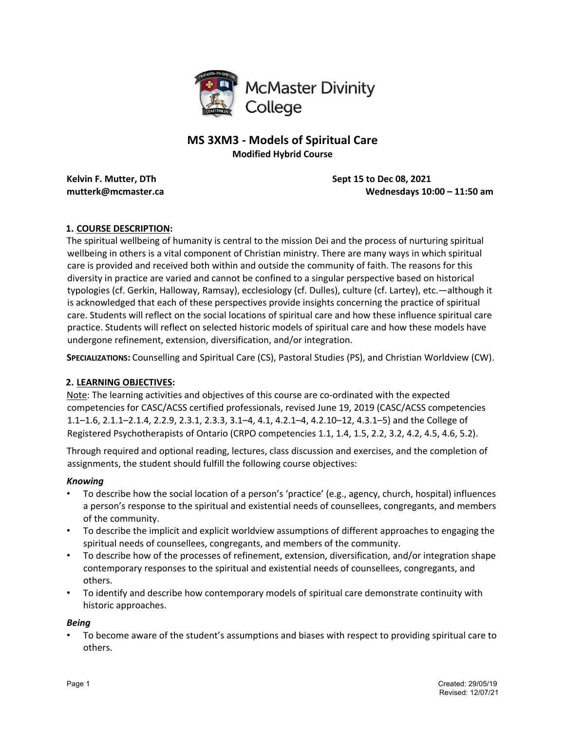

# **MS 3XM3 - Models of Spiritual Care Modified Hybrid Course**

**Kelvin F. Mutter, DTh Sept 15 to Dec 08, 2021**

**mutterk@mcmaster.ca Wednesdays 10:00 – 11:50 am** 

## **1. COURSE DESCRIPTION:**

The spiritual wellbeing of humanity is central to the mission Dei and the process of nurturing spiritual wellbeing in others is a vital component of Christian ministry. There are many ways in which spiritual care is provided and received both within and outside the community of faith. The reasons for this diversity in practice are varied and cannot be confined to a singular perspective based on historical typologies (cf. Gerkin, Halloway, Ramsay), ecclesiology (cf. Dulles), culture (cf. Lartey), etc.—although it is acknowledged that each of these perspectives provide insights concerning the practice of spiritual care. Students will reflect on the social locations of spiritual care and how these influence spiritual care practice. Students will reflect on selected historic models of spiritual care and how these models have undergone refinement, extension, diversification, and/or integration.

**SPECIALIZATIONS:** Counselling and Spiritual Care (CS), Pastoral Studies (PS), and Christian Worldview (CW).

#### **2. LEARNING OBJECTIVES:**

Note: The learning activities and objectives of this course are co-ordinated with the expected competencies for CASC/ACSS certified professionals, revised June 19, 2019 (CASC/ACSS competencies 1.1–1.6, 2.1.1–2.1.4, 2.2.9, 2.3.1, 2.3.3, 3.1–4, 4.1, 4.2.1–4, 4.2.10–12, 4.3.1–5) and the College of Registered Psychotherapists of Ontario (CRPO competencies 1.1, 1.4, 1.5, 2.2, 3.2, 4.2, 4.5, 4.6, 5.2).

Through required and optional reading, lectures, class discussion and exercises, and the completion of assignments, the student should fulfill the following course objectives:

#### *Knowing*

- To describe how the social location of a person's 'practice' (e.g., agency, church, hospital) influences a person's response to the spiritual and existential needs of counsellees, congregants, and members of the community.
- To describe the implicit and explicit worldview assumptions of different approaches to engaging the spiritual needs of counsellees, congregants, and members of the community.
- To describe how of the processes of refinement, extension, diversification, and/or integration shape contemporary responses to the spiritual and existential needs of counsellees, congregants, and others.
- To identify and describe how contemporary models of spiritual care demonstrate continuity with historic approaches.

#### *Being*

• To become aware of the student's assumptions and biases with respect to providing spiritual care to others.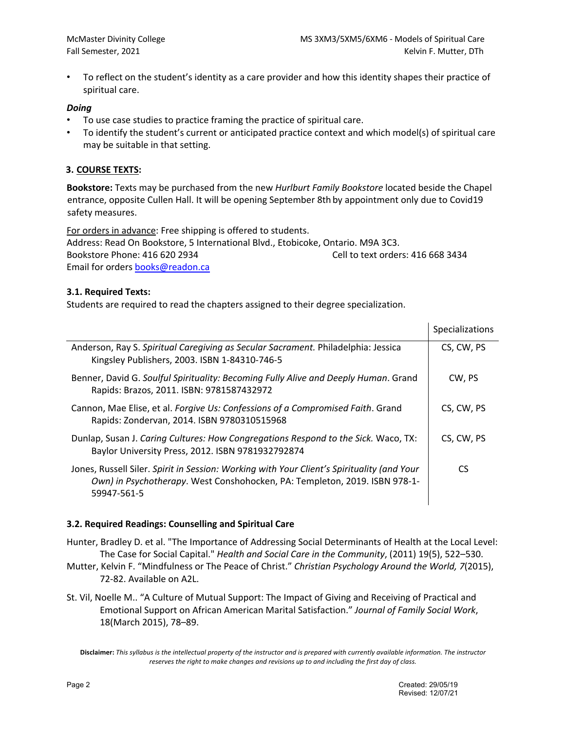• To reflect on the student's identity as a care provider and how this identity shapes their practice of spiritual care.

#### *Doing*

- To use case studies to practice framing the practice of spiritual care.
- To identify the student's current or anticipated practice context and which model(s) of spiritual care may be suitable in that setting.

#### **3. COURSE TEXTS:**

**Bookstore:** Texts may be purchased from the new *Hurlburt Family Bookstore* located beside the Chapel entrance, opposite Cullen Hall. It will be opening September 8th by appointment only due to Covid19 safety measures.

For orders in advance: Free shipping is offered to students.

Address: Read On Bookstore, 5 International Blvd., Etobicoke, Ontario. M9A 3C3. Bookstore Phone: 416 620 2934 Cell to text orders: 416 668 3434 Email for orders books@readon.ca

#### **3.1. Required Texts:**

Students are required to read the chapters assigned to their degree specialization.

|                                                                                                                                                                                         | Specializations |
|-----------------------------------------------------------------------------------------------------------------------------------------------------------------------------------------|-----------------|
| Anderson, Ray S. Spiritual Caregiving as Secular Sacrament. Philadelphia: Jessica<br>Kingsley Publishers, 2003. ISBN 1-84310-746-5                                                      | CS, CW, PS      |
| Benner, David G. Soulful Spirituality: Becoming Fully Alive and Deeply Human. Grand<br>Rapids: Brazos, 2011. ISBN: 9781587432972                                                        | CW, PS          |
| Cannon, Mae Elise, et al. Forgive Us: Confessions of a Compromised Faith. Grand<br>Rapids: Zondervan, 2014. ISBN 9780310515968                                                          | CS, CW, PS      |
| Dunlap, Susan J. Caring Cultures: How Congregations Respond to the Sick. Waco, TX:<br>Baylor University Press, 2012. ISBN 9781932792874                                                 | CS, CW, PS      |
| Jones, Russell Siler. Spirit in Session: Working with Your Client's Spirituality (and Your<br>Own) in Psychotherapy. West Conshohocken, PA: Templeton, 2019. ISBN 978-1-<br>59947-561-5 | CS.             |

#### **3.2. Required Readings: Counselling and Spiritual Care**

- Hunter, Bradley D. et al. "The Importance of Addressing Social Determinants of Health at the Local Level: The Case for Social Capital." *Health and Social Care in the Community*, (2011) 19(5), 522–530.
- Mutter, Kelvin F. "Mindfulness or The Peace of Christ." *Christian Psychology Around the World, 7*(2015), 72-82. Available on A2L.
- St. Vil, Noelle M.. "A Culture of Mutual Support: The Impact of Giving and Receiving of Practical and Emotional Support on African American Marital Satisfaction." *Journal of Family Social Work*, 18(March 2015), 78–89.

 $\mathbf{I}$ 

**Disclaimer:** *This syllabus is the intellectual property of the instructor and is prepared with currently available information. The instructor reserves the right to make changes and revisions up to and including the first day of class.*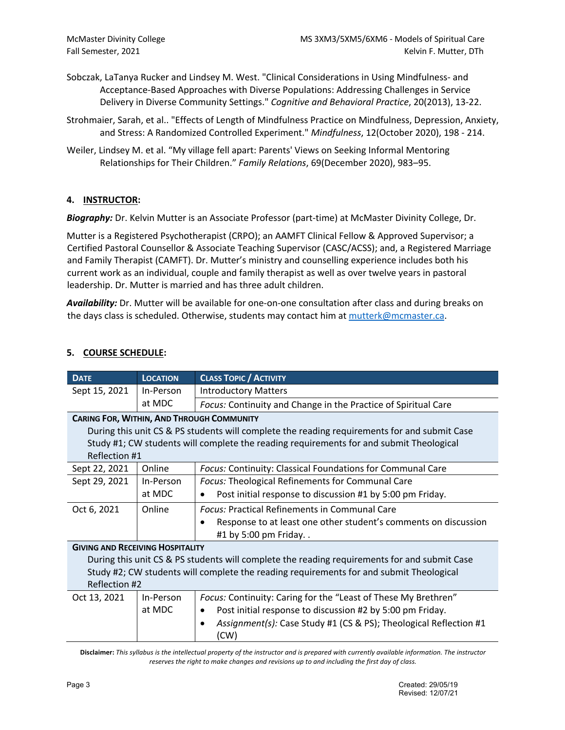- Sobczak, LaTanya Rucker and Lindsey M. West. "Clinical Considerations in Using Mindfulness- and Acceptance-Based Approaches with Diverse Populations: Addressing Challenges in Service Delivery in Diverse Community Settings." *Cognitive and Behavioral Practice*, 20(2013), 13-22.
- Strohmaier, Sarah, et al.. "Effects of Length of Mindfulness Practice on Mindfulness, Depression, Anxiety, and Stress: A Randomized Controlled Experiment." *Mindfulness*, 12(October 2020), 198 - 214.
- Weiler, Lindsey M. et al. "My village fell apart: Parents' Views on Seeking Informal Mentoring Relationships for Their Children." *Family Relations*, 69(December 2020), 983–95.

## **4. INSTRUCTOR:**

*Biography:* Dr. Kelvin Mutter is an Associate Professor (part-time) at McMaster Divinity College, Dr.

Mutter is a Registered Psychotherapist (CRPO); an AAMFT Clinical Fellow & Approved Supervisor; a Certified Pastoral Counsellor & Associate Teaching Supervisor (CASC/ACSS); and, a Registered Marriage and Family Therapist (CAMFT). Dr. Mutter's ministry and counselling experience includes both his current work as an individual, couple and family therapist as well as over twelve years in pastoral leadership. Dr. Mutter is married and has three adult children.

*Availability:* Dr. Mutter will be available for one-on-one consultation after class and during breaks on the days class is scheduled. Otherwise, students may contact him at mutterk@mcmaster.ca.

## **5. COURSE SCHEDULE:**

| <b>DATE</b>                                                                                  | <b>LOCATION</b>                                  | <b>CLASS TOPIC / ACTIVITY</b>                                             |  |  |  |  |
|----------------------------------------------------------------------------------------------|--------------------------------------------------|---------------------------------------------------------------------------|--|--|--|--|
| Sept 15, 2021                                                                                | In-Person                                        | <b>Introductory Matters</b>                                               |  |  |  |  |
|                                                                                              | at MDC                                           | Focus: Continuity and Change in the Practice of Spiritual Care            |  |  |  |  |
|                                                                                              | <b>CARING FOR, WITHIN, AND THROUGH COMMUNITY</b> |                                                                           |  |  |  |  |
| During this unit CS & PS students will complete the reading requirements for and submit Case |                                                  |                                                                           |  |  |  |  |
| Study #1; CW students will complete the reading requirements for and submit Theological      |                                                  |                                                                           |  |  |  |  |
| Reflection #1                                                                                |                                                  |                                                                           |  |  |  |  |
| Sept 22, 2021                                                                                | Online                                           | Focus: Continuity: Classical Foundations for Communal Care                |  |  |  |  |
| Sept 29, 2021                                                                                | In-Person                                        | Focus: Theological Refinements for Communal Care                          |  |  |  |  |
|                                                                                              | at MDC                                           | Post initial response to discussion #1 by 5:00 pm Friday.                 |  |  |  |  |
| Oct 6, 2021                                                                                  | Online                                           | <b>Focus: Practical Refinements in Communal Care</b>                      |  |  |  |  |
|                                                                                              |                                                  | Response to at least one other student's comments on discussion           |  |  |  |  |
|                                                                                              |                                                  | #1 by 5:00 pm Friday                                                      |  |  |  |  |
| <b>GIVING AND RECEIVING HOSPITALITY</b>                                                      |                                                  |                                                                           |  |  |  |  |
| During this unit CS & PS students will complete the reading requirements for and submit Case |                                                  |                                                                           |  |  |  |  |
| Study #2; CW students will complete the reading requirements for and submit Theological      |                                                  |                                                                           |  |  |  |  |
| Reflection #2                                                                                |                                                  |                                                                           |  |  |  |  |
| Oct 13, 2021                                                                                 | In-Person                                        | Focus: Continuity: Caring for the "Least of These My Brethren"            |  |  |  |  |
|                                                                                              | at MDC                                           | Post initial response to discussion #2 by 5:00 pm Friday.                 |  |  |  |  |
|                                                                                              |                                                  | Assignment(s): Case Study #1 (CS & PS); Theological Reflection #1<br>(CW) |  |  |  |  |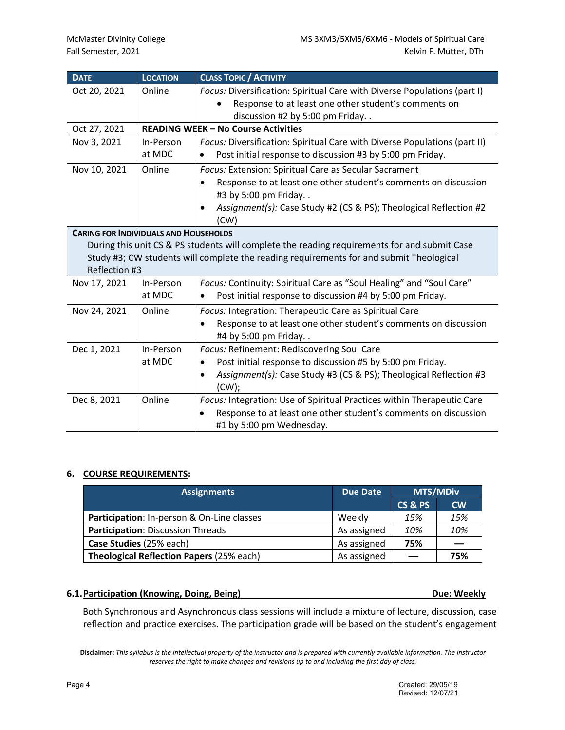| <b>DATE</b>                                  | <b>LOCATION</b> | <b>CLASS TOPIC / ACTIVITY</b>                                                                |  |  |  |
|----------------------------------------------|-----------------|----------------------------------------------------------------------------------------------|--|--|--|
| Oct 20, 2021                                 | Online          | Focus: Diversification: Spiritual Care with Diverse Populations (part I)                     |  |  |  |
|                                              |                 | Response to at least one other student's comments on                                         |  |  |  |
|                                              |                 | discussion #2 by 5:00 pm Friday                                                              |  |  |  |
| Oct 27, 2021                                 |                 | <b>READING WEEK - No Course Activities</b>                                                   |  |  |  |
| Nov 3, 2021                                  | In-Person       | Focus: Diversification: Spiritual Care with Diverse Populations (part II)                    |  |  |  |
|                                              | at MDC          | Post initial response to discussion #3 by 5:00 pm Friday.                                    |  |  |  |
| Nov 10, 2021                                 | Online          | Focus: Extension: Spiritual Care as Secular Sacrament                                        |  |  |  |
|                                              |                 | Response to at least one other student's comments on discussion                              |  |  |  |
|                                              |                 | #3 by 5:00 pm Friday                                                                         |  |  |  |
|                                              |                 | Assignment(s): Case Study #2 (CS & PS); Theological Reflection #2                            |  |  |  |
|                                              |                 | (CW)                                                                                         |  |  |  |
| <b>CARING FOR INDIVIDUALS AND HOUSEHOLDS</b> |                 |                                                                                              |  |  |  |
|                                              |                 | During this unit CS & PS students will complete the reading requirements for and submit Case |  |  |  |
|                                              |                 | Study #3; CW students will complete the reading requirements for and submit Theological      |  |  |  |
| Reflection #3                                |                 |                                                                                              |  |  |  |
| Nov 17, 2021                                 | In-Person       | Focus: Continuity: Spiritual Care as "Soul Healing" and "Soul Care"                          |  |  |  |
|                                              | at MDC          | Post initial response to discussion #4 by 5:00 pm Friday.                                    |  |  |  |
| Nov 24, 2021                                 | Online          | Focus: Integration: Therapeutic Care as Spiritual Care                                       |  |  |  |
|                                              |                 | Response to at least one other student's comments on discussion                              |  |  |  |
|                                              |                 | #4 by 5:00 pm Friday                                                                         |  |  |  |
| Dec 1, 2021                                  | In-Person       | Focus: Refinement: Rediscovering Soul Care                                                   |  |  |  |
|                                              | at MDC          | Post initial response to discussion #5 by 5:00 pm Friday.                                    |  |  |  |
|                                              |                 | Assignment(s): Case Study #3 (CS & PS); Theological Reflection #3<br>٠                       |  |  |  |
|                                              |                 | $(CW)$ ;                                                                                     |  |  |  |
| Dec 8, 2021                                  | Online          | Focus: Integration: Use of Spiritual Practices within Therapeutic Care                       |  |  |  |
|                                              |                 | Response to at least one other student's comments on discussion<br>$\bullet$                 |  |  |  |
|                                              |                 | #1 by 5:00 pm Wednesday.                                                                     |  |  |  |

# **6. COURSE REQUIREMENTS:**

| <b>Assignments</b>                              | <b>Due Date</b> | <b>MTS/MDiv</b> |               |
|-------------------------------------------------|-----------------|-----------------|---------------|
|                                                 |                 | CS&PS           | $\mathsf{cw}$ |
| Participation: In-person & On-Line classes      | Weekly          | 15%             | 15%           |
| Participation: Discussion Threads               | As assigned     | 10%             | 10%           |
| Case Studies (25% each)                         | As assigned     | 75%             |               |
| <b>Theological Reflection Papers (25% each)</b> | As assigned     |                 | 75%           |

#### **6.1.Participation (Knowing, Doing, Being) Due: Weekly**

Both Synchronous and Asynchronous class sessions will include a mixture of lecture, discussion, case reflection and practice exercises. The participation grade will be based on the student's engagement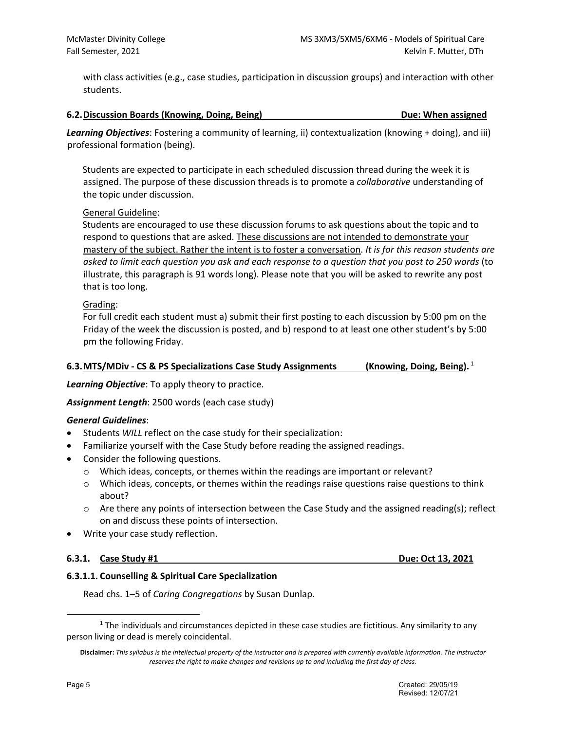with class activities (e.g., case studies, participation in discussion groups) and interaction with other students.

#### **6.2.Discussion Boards (Knowing, Doing, Being) Due: When assigned**

*Learning Objectives*: Fostering a community of learning, ii) contextualization (knowing + doing), and iii) professional formation (being).

Students are expected to participate in each scheduled discussion thread during the week it is assigned. The purpose of these discussion threads is to promote a *collaborative* understanding of the topic under discussion.

#### General Guideline:

Students are encouraged to use these discussion forums to ask questions about the topic and to respond to questions that are asked. These discussions are not intended to demonstrate your mastery of the subject. Rather the intent is to foster a conversation. *It is for this reason students are asked to limit each question you ask and each response to a question that you post to 250 words* (to illustrate, this paragraph is 91 words long). Please note that you will be asked to rewrite any post that is too long.

#### Grading:

For full credit each student must a) submit their first posting to each discussion by 5:00 pm on the Friday of the week the discussion is posted, and b) respond to at least one other student's by 5:00 pm the following Friday.

#### **6.3.MTS/MDiv - CS & PS Specializations Case Study Assignments (Knowing, Doing, Being).** <sup>1</sup>

*Learning Objective*: To apply theory to practice.

*Assignment Length*: 2500 words (each case study)

#### *General Guidelines*:

- Students *WILL* reflect on the case study for their specialization:
- Familiarize yourself with the Case Study before reading the assigned readings.
- Consider the following questions.
	- $\circ$  Which ideas, concepts, or themes within the readings are important or relevant?
	- $\circ$  Which ideas, concepts, or themes within the readings raise questions raise questions to think about?
	- $\circ$  Are there any points of intersection between the Case Study and the assigned reading(s); reflect on and discuss these points of intersection.
- Write your case study reflection.

#### **6.3.1. Case Study #1 Due: Oct 13, 2021**

#### **6.3.1.1. Counselling & Spiritual Care Specialization**

Read chs. 1–5 of *Caring Congregations* by Susan Dunlap.

 $1$  The individuals and circumstances depicted in these case studies are fictitious. Any similarity to any person living or dead is merely coincidental.

**Disclaimer:** *This syllabus is the intellectual property of the instructor and is prepared with currently available information. The instructor reserves the right to make changes and revisions up to and including the first day of class.*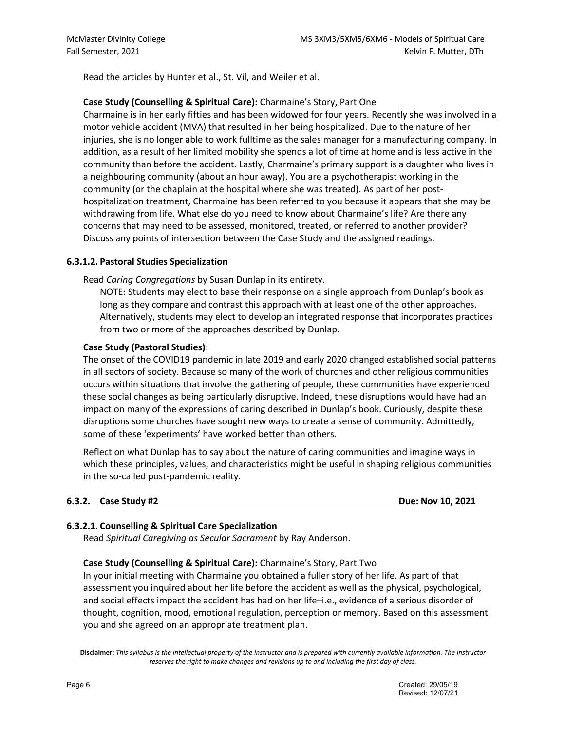Read the articles by Hunter et al., St. Vil, and Weiler et al.

## **Case Study (Counselling & Spiritual Care):** Charmaine's Story, Part One

Charmaine is in her early fifties and has been widowed for four years. Recently she was involved in a motor vehicle accident (MVA) that resulted in her being hospitalized. Due to the nature of her injuries, she is no longer able to work fulltime as the sales manager for a manufacturing company. In addition, as a result of her limited mobility she spends a lot of time at home and is less active in the community than before the accident. Lastly, Charmaine's primary support is a daughter who lives in a neighbouring community (about an hour away). You are a psychotherapist working in the community (or the chaplain at the hospital where she was treated). As part of her posthospitalization treatment, Charmaine has been referred to you because it appears that she may be withdrawing from life. What else do you need to know about Charmaine's life? Are there any concerns that may need to be assessed, monitored, treated, or referred to another provider? Discuss any points of intersection between the Case Study and the assigned readings.

#### **6.3.1.2. Pastoral Studies Specialization**

Read *Caring Congregations* by Susan Dunlap in its entirety.

NOTE: Students may elect to base their response on a single approach from Dunlap's book as long as they compare and contrast this approach with at least one of the other approaches. Alternatively, students may elect to develop an integrated response that incorporates practices from two or more of the approaches described by Dunlap.

#### **Case Study (Pastoral Studies)**:

The onset of the COVID19 pandemic in late 2019 and early 2020 changed established social patterns in all sectors of society. Because so many of the work of churches and other religious communities occurs within situations that involve the gathering of people, these communities have experienced these social changes as being particularly disruptive. Indeed, these disruptions would have had an impact on many of the expressions of caring described in Dunlap's book. Curiously, despite these disruptions some churches have sought new ways to create a sense of community. Admittedly, some of these 'experiments' have worked better than others.

Reflect on what Dunlap has to say about the nature of caring communities and imagine ways in which these principles, values, and characteristics might be useful in shaping religious communities in the so-called post-pandemic reality.

#### **6.3.2.** Case Study #2 Due: Nov 10, 2021

## **6.3.2.1. Counselling & Spiritual Care Specialization**

Read *Spiritual Caregiving as Secular Sacrament* by Ray Anderson.

#### **Case Study (Counselling & Spiritual Care):** Charmaine's Story, Part Two

In your initial meeting with Charmaine you obtained a fuller story of her life. As part of that assessment you inquired about her life before the accident as well as the physical, psychological, and social effects impact the accident has had on her life–i.e., evidence of a serious disorder of thought, cognition, mood, emotional regulation, perception or memory. Based on this assessment you and she agreed on an appropriate treatment plan.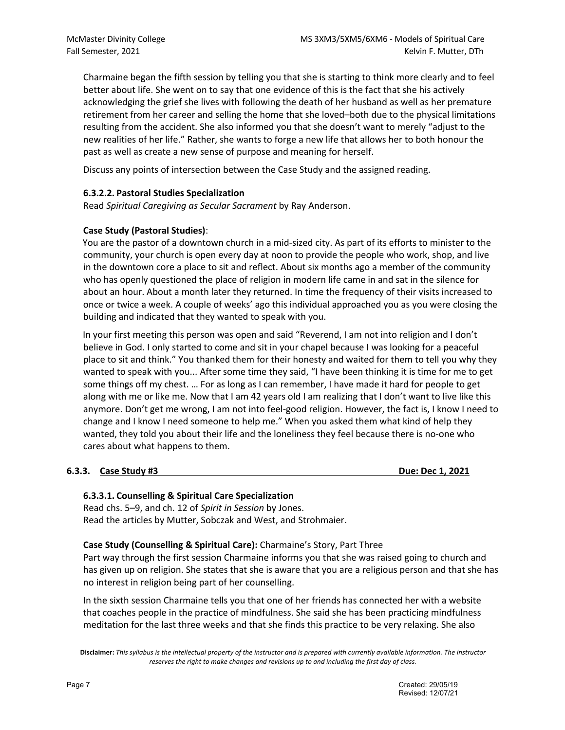Charmaine began the fifth session by telling you that she is starting to think more clearly and to feel better about life. She went on to say that one evidence of this is the fact that she his actively acknowledging the grief she lives with following the death of her husband as well as her premature retirement from her career and selling the home that she loved–both due to the physical limitations resulting from the accident. She also informed you that she doesn't want to merely "adjust to the new realities of her life." Rather, she wants to forge a new life that allows her to both honour the past as well as create a new sense of purpose and meaning for herself.

Discuss any points of intersection between the Case Study and the assigned reading.

## **6.3.2.2. Pastoral Studies Specialization**

Read *Spiritual Caregiving as Secular Sacrament* by Ray Anderson.

## **Case Study (Pastoral Studies)**:

You are the pastor of a downtown church in a mid-sized city. As part of its efforts to minister to the community, your church is open every day at noon to provide the people who work, shop, and live in the downtown core a place to sit and reflect. About six months ago a member of the community who has openly questioned the place of religion in modern life came in and sat in the silence for about an hour. About a month later they returned. In time the frequency of their visits increased to once or twice a week. A couple of weeks' ago this individual approached you as you were closing the building and indicated that they wanted to speak with you.

In your first meeting this person was open and said "Reverend, I am not into religion and I don't believe in God. I only started to come and sit in your chapel because I was looking for a peaceful place to sit and think." You thanked them for their honesty and waited for them to tell you why they wanted to speak with you... After some time they said, "I have been thinking it is time for me to get some things off my chest. … For as long as I can remember, I have made it hard for people to get along with me or like me. Now that I am 42 years old I am realizing that I don't want to live like this anymore. Don't get me wrong, I am not into feel-good religion. However, the fact is, I know I need to change and I know I need someone to help me." When you asked them what kind of help they wanted, they told you about their life and the loneliness they feel because there is no-one who cares about what happens to them.

## **6.3.3. Case Study #3 Due: Dec 1, 2021**

#### **6.3.3.1. Counselling & Spiritual Care Specialization**

Read chs. 5–9, and ch. 12 of *Spirit in Session* by Jones. Read the articles by Mutter, Sobczak and West, and Strohmaier.

**Case Study (Counselling & Spiritual Care):** Charmaine's Story, Part Three

Part way through the first session Charmaine informs you that she was raised going to church and has given up on religion. She states that she is aware that you are a religious person and that she has no interest in religion being part of her counselling.

In the sixth session Charmaine tells you that one of her friends has connected her with a website that coaches people in the practice of mindfulness. She said she has been practicing mindfulness meditation for the last three weeks and that she finds this practice to be very relaxing. She also

**Disclaimer:** *This syllabus is the intellectual property of the instructor and is prepared with currently available information. The instructor reserves the right to make changes and revisions up to and including the first day of class.*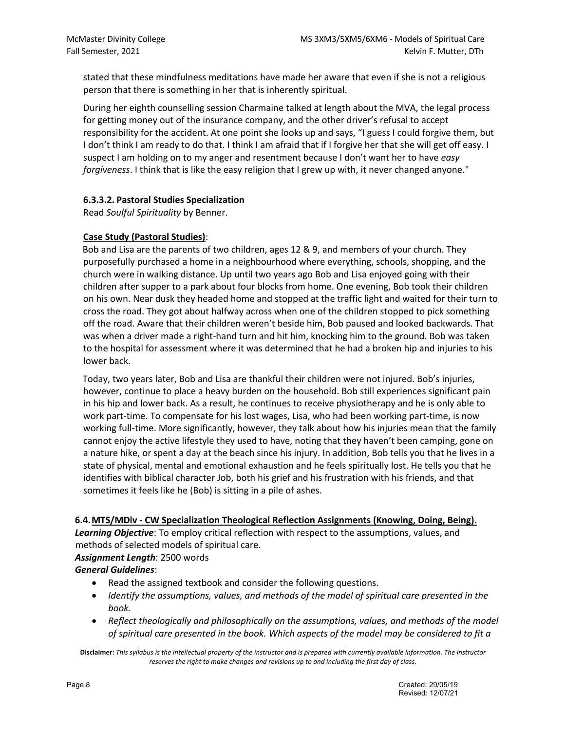stated that these mindfulness meditations have made her aware that even if she is not a religious person that there is something in her that is inherently spiritual.

During her eighth counselling session Charmaine talked at length about the MVA, the legal process for getting money out of the insurance company, and the other driver's refusal to accept responsibility for the accident. At one point she looks up and says, "I guess I could forgive them, but I don't think I am ready to do that. I think I am afraid that if I forgive her that she will get off easy. I suspect I am holding on to my anger and resentment because I don't want her to have *easy forgiveness*. I think that is like the easy religion that I grew up with, it never changed anyone."

## **6.3.3.2. Pastoral Studies Specialization**

Read *Soulful Spirituality* by Benner.

## **Case Study (Pastoral Studies)**:

Bob and Lisa are the parents of two children, ages 12 & 9, and members of your church. They purposefully purchased a home in a neighbourhood where everything, schools, shopping, and the church were in walking distance. Up until two years ago Bob and Lisa enjoyed going with their children after supper to a park about four blocks from home. One evening, Bob took their children on his own. Near dusk they headed home and stopped at the traffic light and waited for their turn to cross the road. They got about halfway across when one of the children stopped to pick something off the road. Aware that their children weren't beside him, Bob paused and looked backwards. That was when a driver made a right-hand turn and hit him, knocking him to the ground. Bob was taken to the hospital for assessment where it was determined that he had a broken hip and injuries to his lower back.

Today, two years later, Bob and Lisa are thankful their children were not injured. Bob's injuries, however, continue to place a heavy burden on the household. Bob still experiences significant pain in his hip and lower back. As a result, he continues to receive physiotherapy and he is only able to work part-time. To compensate for his lost wages, Lisa, who had been working part-time, is now working full-time. More significantly, however, they talk about how his injuries mean that the family cannot enjoy the active lifestyle they used to have, noting that they haven't been camping, gone on a nature hike, or spent a day at the beach since his injury. In addition, Bob tells you that he lives in a state of physical, mental and emotional exhaustion and he feels spiritually lost. He tells you that he identifies with biblical character Job, both his grief and his frustration with his friends, and that sometimes it feels like he (Bob) is sitting in a pile of ashes.

#### **6.4.MTS/MDiv - CW Specialization Theological Reflection Assignments (Knowing, Doing, Being).**

*Learning Objective*: To employ critical reflection with respect to the assumptions, values, and methods of selected models of spiritual care.

## *Assignment Length*: 2500 words

## *General Guidelines*:

- Read the assigned textbook and consider the following questions.
- *Identify the assumptions, values, and methods of the model of spiritual care presented in the book.*
- *Reflect theologically and philosophically on the assumptions, values, and methods of the model of spiritual care presented in the book. Which aspects of the model may be considered to fit a*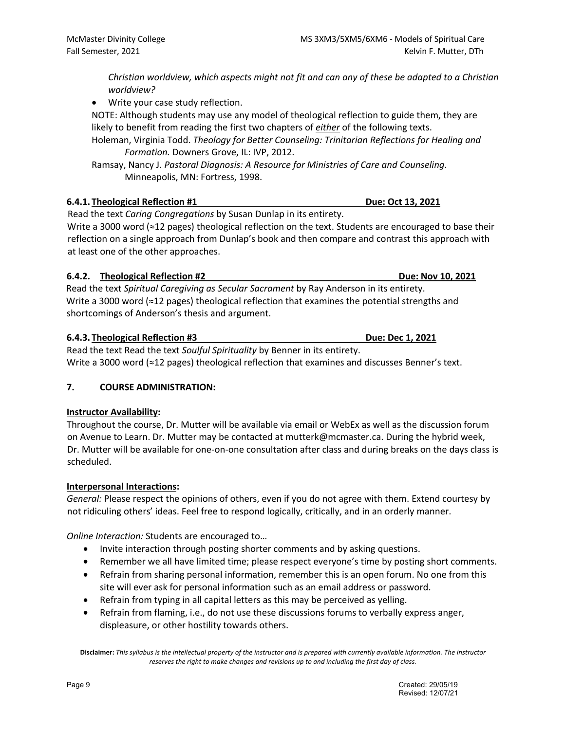*Christian worldview, which aspects might not fit and can any of these be adapted to a Christian worldview?*

• Write your case study reflection.

NOTE: Although students may use any model of theological reflection to guide them, they are likely to benefit from reading the first two chapters of *either* of the following texts.

Holeman, Virginia Todd. *Theology for Better Counseling: Trinitarian Reflections for Healing and Formation.* Downers Grove, IL: IVP, 2012.

Ramsay, Nancy J. *Pastoral Diagnosis: A Resource for Ministries of Care and Counseling*. Minneapolis, MN: Fortress, 1998.

## **6.4.1. Theological Reflection #1 Due: Oct 13, 2021**

Read the text *Caring Congregations* by Susan Dunlap in its entirety.

Write a 3000 word (≈12 pages) theological reflection on the text. Students are encouraged to base their reflection on a single approach from Dunlap's book and then compare and contrast this approach with at least one of the other approaches.

# **6.4.2. Theological Reflection #2 Due: Nov 10, 2021**

Read the text *Spiritual Caregiving as Secular Sacrament* by Ray Anderson in its entirety. Write a 3000 word (≈12 pages) theological reflection that examines the potential strengths and shortcomings of Anderson's thesis and argument.

# **6.4.3. Theological Reflection #3 Due: Dec 1, 2021**

Read the text Read the text *Soulful Spirituality* by Benner in its entirety. Write a 3000 word (≈12 pages) theological reflection that examines and discusses Benner's text.

# **7. COURSE ADMINISTRATION:**

## **Instructor Availability:**

Throughout the course, Dr. Mutter will be available via email or WebEx as well as the discussion forum on Avenue to Learn. Dr. Mutter may be contacted at mutterk@mcmaster.ca. During the hybrid week, Dr. Mutter will be available for one-on-one consultation after class and during breaks on the days class is scheduled.

## **Interpersonal Interactions:**

*General:* Please respect the opinions of others, even if you do not agree with them. Extend courtesy by not ridiculing others' ideas. Feel free to respond logically, critically, and in an orderly manner.

*Online Interaction:* Students are encouraged to…

- Invite interaction through posting shorter comments and by asking questions.
- Remember we all have limited time; please respect everyone's time by posting short comments.
- Refrain from sharing personal information, remember this is an open forum. No one from this site will ever ask for personal information such as an email address or password.
- Refrain from typing in all capital letters as this may be perceived as yelling.
- Refrain from flaming, i.e., do not use these discussions forums to verbally express anger, displeasure, or other hostility towards others.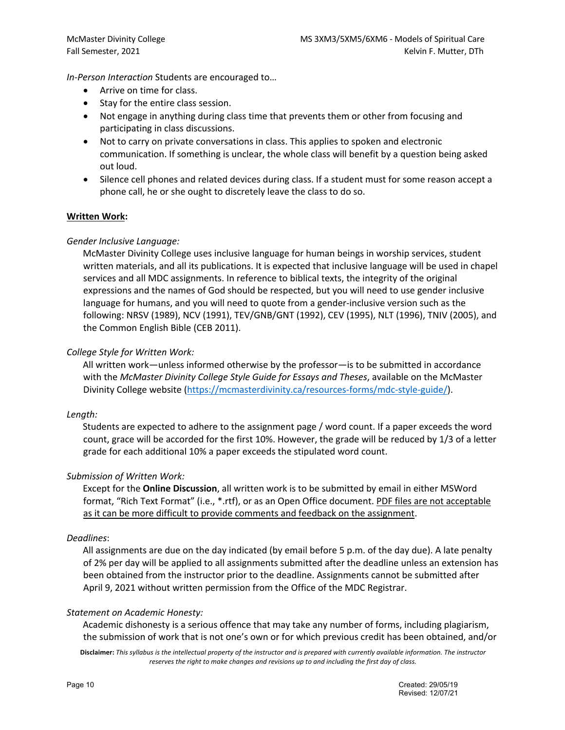*In-Person Interaction* Students are encouraged to…

- Arrive on time for class.
- Stay for the entire class session.
- Not engage in anything during class time that prevents them or other from focusing and participating in class discussions.
- Not to carry on private conversations in class. This applies to spoken and electronic communication. If something is unclear, the whole class will benefit by a question being asked out loud.
- Silence cell phones and related devices during class. If a student must for some reason accept a phone call, he or she ought to discretely leave the class to do so.

#### **Written Work:**

#### *Gender Inclusive Language:*

McMaster Divinity College uses inclusive language for human beings in worship services, student written materials, and all its publications. It is expected that inclusive language will be used in chapel services and all MDC assignments. In reference to biblical texts, the integrity of the original expressions and the names of God should be respected, but you will need to use gender inclusive language for humans, and you will need to quote from a gender-inclusive version such as the following: NRSV (1989), NCV (1991), TEV/GNB/GNT (1992), CEV (1995), NLT (1996), TNIV (2005), and the Common English Bible (CEB 2011).

#### *College Style for Written Work:*

All written work—unless informed otherwise by the professor—is to be submitted in accordance with the *McMaster Divinity College Style Guide for Essays and Theses*, available on the McMaster Divinity College website (https://mcmasterdivinity.ca/resources-forms/mdc-style-guide/).

#### *Length:*

Students are expected to adhere to the assignment page / word count. If a paper exceeds the word count, grace will be accorded for the first 10%. However, the grade will be reduced by 1/3 of a letter grade for each additional 10% a paper exceeds the stipulated word count.

#### *Submission of Written Work:*

Except for the **Online Discussion**, all written work is to be submitted by email in either MSWord format, "Rich Text Format" (i.e., \*.rtf), or as an Open Office document. PDF files are not acceptable as it can be more difficult to provide comments and feedback on the assignment.

#### *Deadlines*:

All assignments are due on the day indicated (by email before 5 p.m. of the day due). A late penalty of 2% per day will be applied to all assignments submitted after the deadline unless an extension has been obtained from the instructor prior to the deadline. Assignments cannot be submitted after April 9, 2021 without written permission from the Office of the MDC Registrar.

#### *Statement on Academic Honesty:*

Academic dishonesty is a serious offence that may take any number of forms, including plagiarism, the submission of work that is not one's own or for which previous credit has been obtained, and/or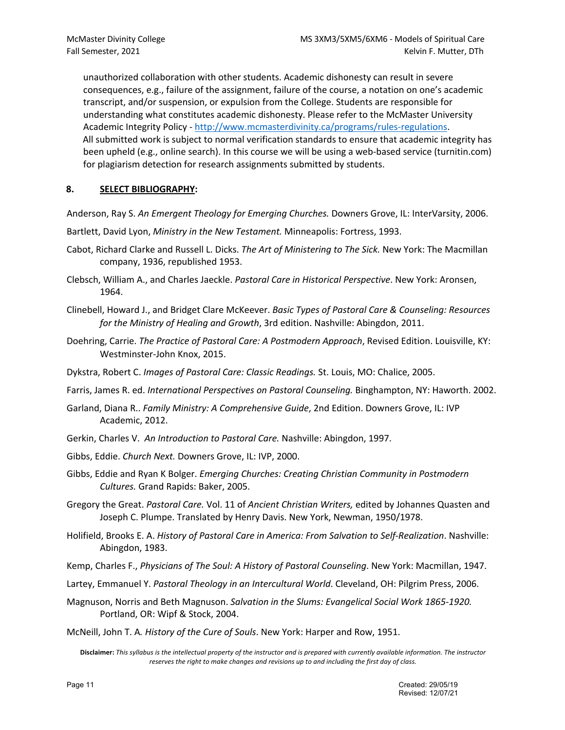unauthorized collaboration with other students. Academic dishonesty can result in severe consequences, e.g., failure of the assignment, failure of the course, a notation on one's academic transcript, and/or suspension, or expulsion from the College. Students are responsible for understanding what constitutes academic dishonesty. Please refer to the McMaster University Academic Integrity Policy - http://www.mcmasterdivinity.ca/programs/rules-regulations. All submitted work is subject to normal verification standards to ensure that academic integrity has been upheld (e.g., online search). In this course we will be using a web-based service (turnitin.com) for plagiarism detection for research assignments submitted by students.

## **8. SELECT BIBLIOGRAPHY:**

Anderson, Ray S. *An Emergent Theology for Emerging Churches.* Downers Grove, IL: InterVarsity, 2006.

Bartlett, David Lyon, *Ministry in the New Testament.* Minneapolis: Fortress, 1993.

- Cabot, Richard Clarke and Russell L. Dicks. *The Art of Ministering to The Sick.* New York: The Macmillan company, 1936, republished 1953.
- Clebsch, William A., and Charles Jaeckle. *Pastoral Care in Historical Perspective*. New York: Aronsen, 1964.
- Clinebell, Howard J., and Bridget Clare McKeever. *Basic Types of Pastoral Care & Counseling: Resources for the Ministry of Healing and Growth*, 3rd edition. Nashville: Abingdon, 2011.
- Doehring, Carrie. *The Practice of Pastoral Care: A Postmodern Approach*, Revised Edition. Louisville, KY: Westminster-John Knox, 2015.
- Dykstra, Robert C. *Images of Pastoral Care: Classic Readings.* St. Louis, MO: Chalice, 2005.
- Farris, James R. ed. *International Perspectives on Pastoral Counseling.* Binghampton, NY: Haworth. 2002.
- Garland, Diana R.. *Family Ministry: A Comprehensive Guide*, 2nd Edition. Downers Grove, IL: IVP Academic, 2012.
- Gerkin, Charles V. *An Introduction to Pastoral Care.* Nashville: Abingdon, 1997.
- Gibbs, Eddie. *Church Next.* Downers Grove, IL: IVP, 2000.
- Gibbs, Eddie and Ryan K Bolger. *Emerging Churches: Creating Christian Community in Postmodern Cultures.* Grand Rapids: Baker, 2005.
- Gregory the Great. *Pastoral Care.* Vol. 11 of *Ancient Christian Writers,* edited by Johannes Quasten and Joseph C. Plumpe. Translated by Henry Davis. New York, Newman, 1950/1978.
- Holifield, Brooks E. A. *History of Pastoral Care in America: From Salvation to Self-Realization*. Nashville: Abingdon, 1983.
- Kemp, Charles F., *Physicians of The Soul: A History of Pastoral Counseling*. New York: Macmillan, 1947.
- Lartey, Emmanuel Y. *Pastoral Theology in an Intercultural World*. Cleveland, OH: Pilgrim Press, 2006.
- Magnuson, Norris and Beth Magnuson. *Salvation in the Slums: Evangelical Social Work 1865-1920.*  Portland, OR: Wipf & Stock, 2004.

McNeill, John T. A*. History of the Cure of Souls*. New York: Harper and Row, 1951.

**Disclaimer:** *This syllabus is the intellectual property of the instructor and is prepared with currently available information. The instructor reserves the right to make changes and revisions up to and including the first day of class.*